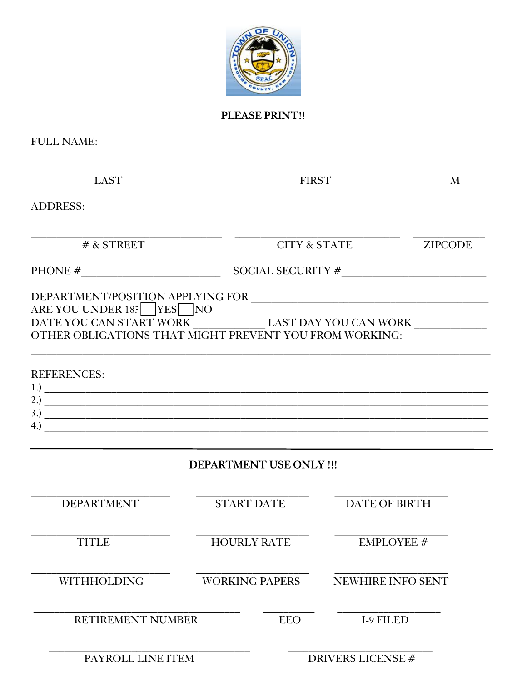

PLEASE PRINT!!

**FULL NAME:** 

| <b>LAST</b>                                                                                             | <b>FIRST</b>            |                          | M              |  |
|---------------------------------------------------------------------------------------------------------|-------------------------|--------------------------|----------------|--|
| <b>ADDRESS:</b>                                                                                         |                         |                          |                |  |
| $#$ & STREET                                                                                            |                         | <b>CITY &amp; STATE</b>  | <b>ZIPCODE</b> |  |
|                                                                                                         |                         |                          |                |  |
| DATE YOU CAN START WORK LAST DAY YOU CAN WORK<br>OTHER OBLIGATIONS THAT MIGHT PREVENT YOU FROM WORKING: |                         |                          |                |  |
| <b>REFERENCES:</b><br>$\frac{3.3}{2}$<br>$\left(4.\right)$                                              |                         |                          |                |  |
|                                                                                                         | DEPARTMENT USE ONLY !!! |                          |                |  |
| <b>DEPARTMENT</b>                                                                                       | <b>START DATE</b>       | <b>DATE OF BIRTH</b>     |                |  |
| <b>TITLE</b>                                                                                            | <b>HOURLY RATE</b>      | <b>EMPLOYEE #</b>        |                |  |
| <b>WITHHOLDING</b>                                                                                      | <b>WORKING PAPERS</b>   | <b>NEWHIRE INFO SENT</b> |                |  |
| <b>RETIREMENT NUMBER</b>                                                                                | <b>EEO</b>              | <b>I-9 FILED</b>         |                |  |
| PAYROLL LINE ITEM                                                                                       |                         | <b>DRIVERS LICENSE#</b>  |                |  |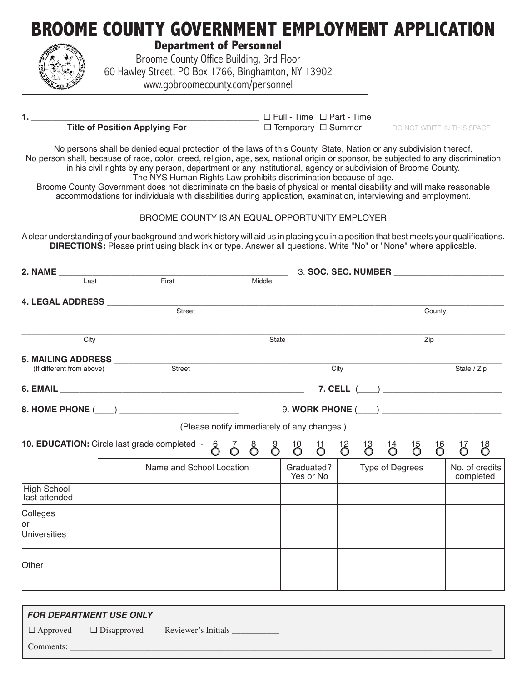| <b>Department of Personnel</b><br>Broome County Office Building, 3rd Floor<br>60 Hawley Street, PO Box 1766, Binghamton, NY 13902<br>www.gobroomecounty.com/personnel | <b>BROOME COUNTY GOVERNMENT EMPLOYMENT APPLICATION</b>                                                                                                                                                                                                                                                                                                                 |                            |
|-----------------------------------------------------------------------------------------------------------------------------------------------------------------------|------------------------------------------------------------------------------------------------------------------------------------------------------------------------------------------------------------------------------------------------------------------------------------------------------------------------------------------------------------------------|----------------------------|
| <b>Title of Position Applying For</b>                                                                                                                                 | $\Box$ Full - Time $\Box$ Part - Time<br>$\Box$ Temporary $\Box$ Summer                                                                                                                                                                                                                                                                                                | DO NOT WRITE IN THIS SPACE |
|                                                                                                                                                                       | No persons shall be denied equal protection of the laws of this County, State, Nation or any subdivision thereof.<br>No person shall, because of race, color, creed, religion, age, sex, national origin or sponsor, be subjected to any discrimination<br>in his civil rights by any person, department or any institutional, agency or subdivision of Broome County. |                            |

The NYS Human Rights Law prohibits discrimination because of age.

Broome County Government does not discriminate on the basis of physical or mental disability and will make reasonable accommodations for individuals with disabilities during application, examination, interviewing and employment.

## BROOME COUNTY IS AN EQUAL OPPORTUNITY EMPLOYER

A clear understanding of your background and work history will aid us in placing you in a position that best meets your qualifications. **DIRECTIONS:** Please print using black ink or type. Answer all questions. Write "No" or "None" where applicable.

| 2. NAME                                                   |      |                                              |                                             |        |       | 3. SOC. SEC. NUMBER     |  |                        |                                                                              |                  |                |                             |
|-----------------------------------------------------------|------|----------------------------------------------|---------------------------------------------|--------|-------|-------------------------|--|------------------------|------------------------------------------------------------------------------|------------------|----------------|-----------------------------|
|                                                           | Last | First                                        |                                             | Middle |       |                         |  |                        |                                                                              |                  |                |                             |
|                                                           |      |                                              |                                             |        |       |                         |  |                        |                                                                              |                  |                |                             |
|                                                           |      |                                              |                                             |        |       |                         |  |                        |                                                                              | County           |                |                             |
|                                                           | City |                                              |                                             |        | State |                         |  |                        |                                                                              | Zip              |                |                             |
|                                                           |      |                                              |                                             |        |       |                         |  |                        |                                                                              |                  |                |                             |
| 5. MAILING ADDRESS<br>Street<br>(If different from above) |      |                                              |                                             |        |       | City                    |  |                        |                                                                              | State / Zip      |                |                             |
|                                                           |      |                                              |                                             |        |       |                         |  |                        |                                                                              |                  |                |                             |
|                                                           |      |                                              |                                             |        |       |                         |  |                        |                                                                              |                  |                |                             |
|                                                           |      |                                              | (Please notify immediately of any changes.) |        |       |                         |  |                        |                                                                              |                  |                |                             |
|                                                           |      | 10. EDUCATION: Circle last grade completed - | ဝိ                                          |        | 6883  |                         |  |                        | $\begin{array}{ccc} 11 & 12 & 13 & 14 & 15 \\ 0 & 0 & 0 & 0 & 0 \end{array}$ | $\mathrm{^{16}}$ | $\overline{6}$ | $\overline{0}$              |
|                                                           |      | Name and School Location                     |                                             |        |       | Graduated?<br>Yes or No |  | <b>Type of Degrees</b> |                                                                              |                  |                | No. of credits<br>completed |
| <b>High School</b><br>last attended                       |      |                                              |                                             |        |       |                         |  |                        |                                                                              |                  |                |                             |
| Colleges<br>or                                            |      |                                              |                                             |        |       |                         |  |                        |                                                                              |                  |                |                             |
| <b>Universities</b>                                       |      |                                              |                                             |        |       |                         |  |                        |                                                                              |                  |                |                             |
| Other                                                     |      |                                              |                                             |        |       |                         |  |                        |                                                                              |                  |                |                             |
|                                                           |      |                                              |                                             |        |       |                         |  |                        |                                                                              |                  |                |                             |
|                                                           |      |                                              |                                             |        |       |                         |  |                        |                                                                              |                  |                |                             |

|           | <b>FOR DEPARTMENT USE ONLY</b> |                                                        |
|-----------|--------------------------------|--------------------------------------------------------|
|           |                                | $\Box$ Approved $\Box$ Disapproved Reviewer's Initials |
| Comments: |                                |                                                        |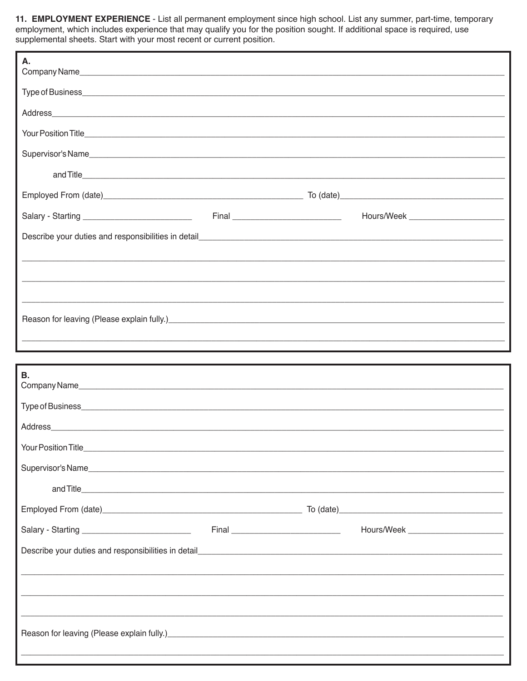11. EMPLOYMENT EXPERIENCE - List all permanent employment since high school. List any summer, part-time, temporary employment, which includes experience that may qualify you for the position sought. If additional space is required, use<br>supplemental sheets. Start with your most recent or current position.

| А.                                                                                                                                                                                                                             |  |                                       |
|--------------------------------------------------------------------------------------------------------------------------------------------------------------------------------------------------------------------------------|--|---------------------------------------|
|                                                                                                                                                                                                                                |  |                                       |
|                                                                                                                                                                                                                                |  |                                       |
|                                                                                                                                                                                                                                |  |                                       |
|                                                                                                                                                                                                                                |  |                                       |
|                                                                                                                                                                                                                                |  |                                       |
|                                                                                                                                                                                                                                |  |                                       |
|                                                                                                                                                                                                                                |  | Hours/Week __________________________ |
|                                                                                                                                                                                                                                |  |                                       |
|                                                                                                                                                                                                                                |  |                                       |
|                                                                                                                                                                                                                                |  |                                       |
|                                                                                                                                                                                                                                |  |                                       |
| Reason for leaving (Please explain fully.)<br>and the manufacture and the manufacture and the manufacture and the manufacture and the manufacture and the ma                                                                   |  |                                       |
|                                                                                                                                                                                                                                |  |                                       |
|                                                                                                                                                                                                                                |  |                                       |
|                                                                                                                                                                                                                                |  |                                       |
| В.                                                                                                                                                                                                                             |  |                                       |
|                                                                                                                                                                                                                                |  |                                       |
|                                                                                                                                                                                                                                |  |                                       |
|                                                                                                                                                                                                                                |  |                                       |
|                                                                                                                                                                                                                                |  |                                       |
|                                                                                                                                                                                                                                |  |                                       |
|                                                                                                                                                                                                                                |  |                                       |
|                                                                                                                                                                                                                                |  |                                       |
| Describe your duties and responsibilities in detail entertainment and the state of the state of the state of the state of the state of the state of the state of the state of the state of the state of the state of the state |  |                                       |
|                                                                                                                                                                                                                                |  |                                       |
|                                                                                                                                                                                                                                |  |                                       |
|                                                                                                                                                                                                                                |  |                                       |
| Reason for leaving (Please explain fully.)<br>and the manufacture and the manufacture and the manufacture and the manufacture and the manufacture and the m                                                                    |  |                                       |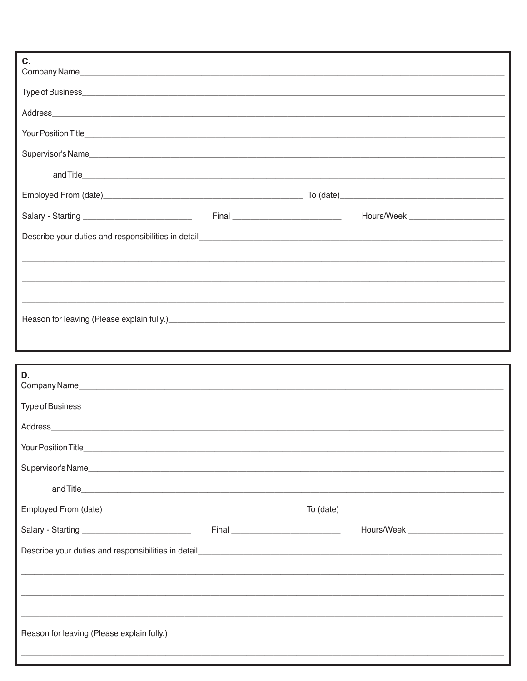| C.                                                                                                                                                           |  |  |
|--------------------------------------------------------------------------------------------------------------------------------------------------------------|--|--|
|                                                                                                                                                              |  |  |
|                                                                                                                                                              |  |  |
|                                                                                                                                                              |  |  |
|                                                                                                                                                              |  |  |
|                                                                                                                                                              |  |  |
|                                                                                                                                                              |  |  |
|                                                                                                                                                              |  |  |
|                                                                                                                                                              |  |  |
|                                                                                                                                                              |  |  |
|                                                                                                                                                              |  |  |
|                                                                                                                                                              |  |  |
| Reason for leaving (Please explain fully.)<br>and the manufacture and the manufacture and the manufacture and the manufacture and the manufacture and the m  |  |  |
|                                                                                                                                                              |  |  |
|                                                                                                                                                              |  |  |
|                                                                                                                                                              |  |  |
| D.                                                                                                                                                           |  |  |
|                                                                                                                                                              |  |  |
|                                                                                                                                                              |  |  |
|                                                                                                                                                              |  |  |
|                                                                                                                                                              |  |  |
|                                                                                                                                                              |  |  |
|                                                                                                                                                              |  |  |
|                                                                                                                                                              |  |  |
|                                                                                                                                                              |  |  |
|                                                                                                                                                              |  |  |
| ,我们也不能在这里的,我们也不能在这里的,我们也不能不能不能不能不能不能不能不能不能不能不能不能不能不能不能。""我们的,我们也不能不能不能不能不能不能不能不能                                                                             |  |  |
|                                                                                                                                                              |  |  |
| Reason for leaving (Please explain fully.)<br>and the manufacture and the manufacture and the manufacture and the manufacture and the manufacture and the ma |  |  |